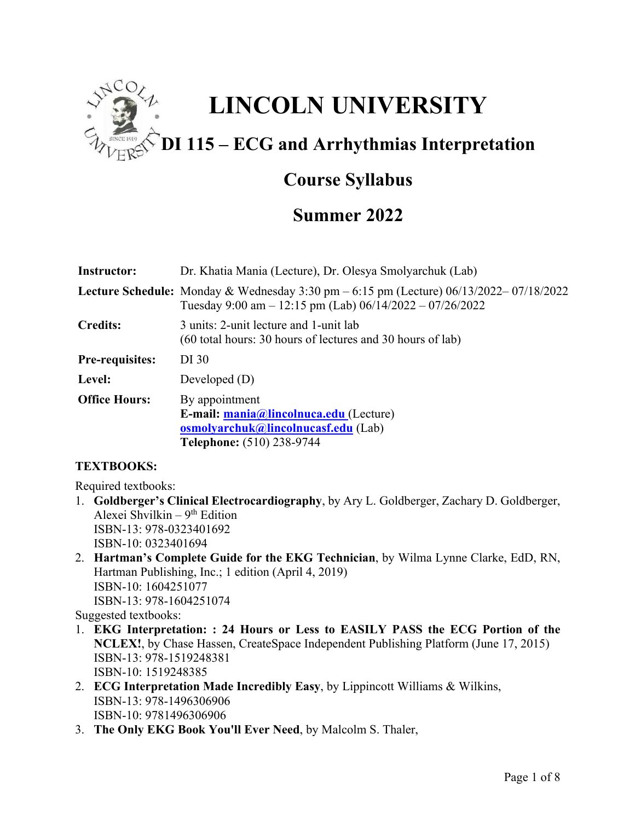

# **Course Syllabus**

# **Summer 2022**

| <b>Instructor:</b>     | Dr. Khatia Mania (Lecture), Dr. Olesya Smolyarchuk (Lab)                                                                                                           |
|------------------------|--------------------------------------------------------------------------------------------------------------------------------------------------------------------|
|                        | <b>Lecture Schedule:</b> Monday & Wednesday 3:30 pm $-6:15$ pm (Lecture) $06/13/2022 - 07/18/2022$<br>Tuesday 9:00 am $- 12:15$ pm (Lab) 06/14/2022 $- 07/26/2022$ |
| <b>Credits:</b>        | 3 units: 2-unit lecture and 1-unit lab<br>$(60$ total hours: 30 hours of lectures and 30 hours of lab)                                                             |
| <b>Pre-requisites:</b> | DI 30                                                                                                                                                              |
| Level:                 | Developed $(D)$                                                                                                                                                    |
| <b>Office Hours:</b>   | By appointment<br>E-mail: mania@lincolnuca.edu (Lecture)<br><b>osmolyarchuk@lincolnucasf.edu</b> (Lab)<br><b>Telephone:</b> (510) 238-9744                         |

## **TEXTBOOKS:**

Required textbooks:

- 1. **Goldberger's Clinical Electrocardiography**, by Ary L. Goldberger, Zachary D. Goldberger, Alexei Shvilkin –  $9<sup>th</sup>$  Edition ISBN-13: 978-0323401692 ISBN-10: 0323401694
- 2. **Hartman's Complete Guide for the EKG Technician**, by Wilma Lynne Clarke, EdD, RN, Hartman Publishing, Inc.; 1 edition (April 4, 2019) ISBN-10: 1604251077 ISBN-13: 978-1604251074

Suggested textbooks:

- 1. **EKG Interpretation: : 24 Hours or Less to EASILY PASS the ECG Portion of the NCLEX!**, by Chase Hassen, CreateSpace Independent Publishing Platform (June 17, 2015) ISBN-13: 978-1519248381 ISBN-10: 1519248385
- 2. **ECG Interpretation Made Incredibly Easy**, by Lippincott Williams & Wilkins, ISBN-13: 978-1496306906 ISBN-10: 9781496306906
- 3. **The Only EKG Book You'll Ever Need**, by Malcolm S. Thaler,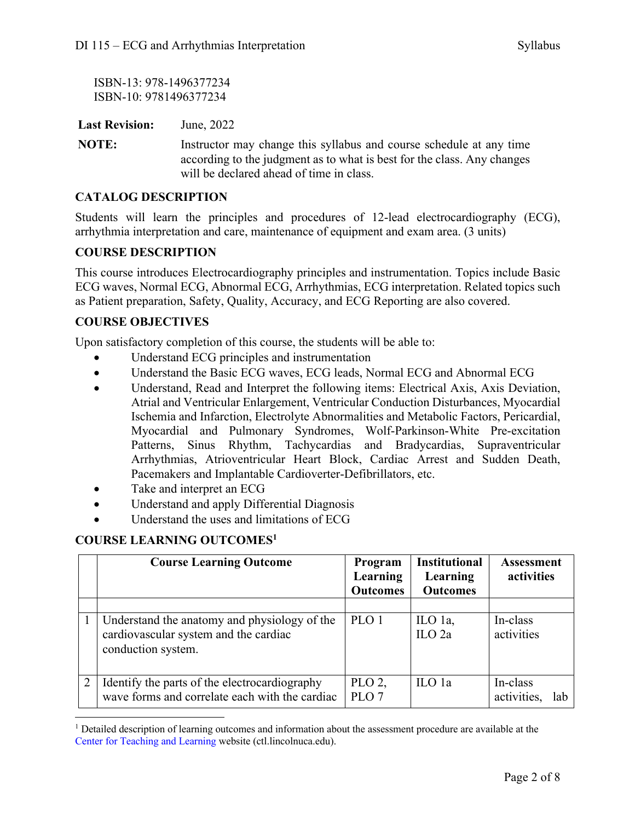ISBN-13: 978-1496377234 ISBN-10: 9781496377234

**Last Revision:** June, 2022

**NOTE:** Instructor may change this syllabus and course schedule at any time according to the judgment as to what is best for the class. Any changes will be declared ahead of time in class.

### **CATALOG DESCRIPTION**

Students will learn the principles and procedures of 12-lead electrocardiography (ECG), arrhythmia interpretation and care, maintenance of equipment and exam area. (3 units)

#### **COURSE DESCRIPTION**

This course introduces Electrocardiography principles and instrumentation. Topics include Basic ECG waves, Normal ECG, Abnormal ECG, Arrhythmias, ECG interpretation. Related topics such as Patient preparation, Safety, Quality, Accuracy, and ECG Reporting are also covered.

## **COURSE OBJECTIVES**

Upon satisfactory completion of this course, the students will be able to:

- Understand ECG principles and instrumentation
- Understand the Basic ECG waves, ECG leads, Normal ECG and Abnormal ECG
- Understand, Read and Interpret the following items: Electrical Axis, Axis Deviation, Atrial and Ventricular Enlargement, Ventricular Conduction Disturbances, Myocardial Ischemia and Infarction, Electrolyte Abnormalities and Metabolic Factors, Pericardial, Myocardial and Pulmonary Syndromes, Wolf-Parkinson-White Pre-excitation Patterns, Sinus Rhythm, Tachycardias and Bradycardias, Supraventricular Arrhythmias, Atrioventricular Heart Block, Cardiac Arrest and Sudden Death, Pacemakers and Implantable Cardioverter-Defibrillators, etc.
- Take and interpret an ECG
- Understand and apply Differential Diagnosis
- Understand the uses and limitations of ECG

## **COURSE LEARNING OUTCOMES1**

| <b>Course Learning Outcome</b>                                                                              | Program<br>Learning<br><b>Outcomes</b> | <b>Institutional</b><br>Learning<br><b>Outcomes</b> | <b>Assessment</b><br>activities |
|-------------------------------------------------------------------------------------------------------------|----------------------------------------|-----------------------------------------------------|---------------------------------|
|                                                                                                             |                                        |                                                     |                                 |
| Understand the anatomy and physiology of the<br>cardiovascular system and the cardiac<br>conduction system. | PLO 1                                  | ILO 1a,<br>$\rm ILO$ 2a                             | In-class<br>activities          |
| Identify the parts of the electrocardiography<br>wave forms and correlate each with the cardiac             | $PLO$ 2,<br>PLO <sub>7</sub>           | ILO 1a                                              | In-class<br>activities,<br>lab  |

<sup>&</sup>lt;sup>1</sup> Detailed description of learning outcomes and information about the assessment procedure are available at the Center for Teaching and Learning website (ctl.lincolnuca.edu).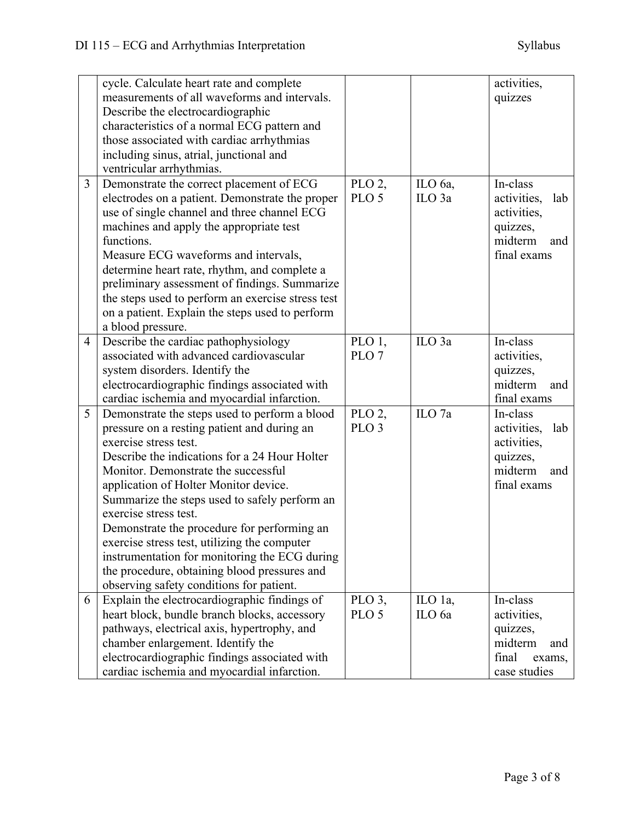|   | cycle. Calculate heart rate and complete<br>measurements of all waveforms and intervals.<br>Describe the electrocardiographic<br>characteristics of a normal ECG pattern and<br>those associated with cardiac arrhythmias<br>including sinus, atrial, junctional and<br>ventricular arrhythmias.                                                                                                                                                                                                                                                                             |                                        |                              | activities,<br>quizzes                                                                     |
|---|------------------------------------------------------------------------------------------------------------------------------------------------------------------------------------------------------------------------------------------------------------------------------------------------------------------------------------------------------------------------------------------------------------------------------------------------------------------------------------------------------------------------------------------------------------------------------|----------------------------------------|------------------------------|--------------------------------------------------------------------------------------------|
| 3 | Demonstrate the correct placement of ECG<br>electrodes on a patient. Demonstrate the proper<br>use of single channel and three channel ECG<br>machines and apply the appropriate test<br>functions.<br>Measure ECG waveforms and intervals,<br>determine heart rate, rhythm, and complete a<br>preliminary assessment of findings. Summarize<br>the steps used to perform an exercise stress test<br>on a patient. Explain the steps used to perform<br>a blood pressure.                                                                                                    | $PLO$ 2,<br>PLO <sub>5</sub>           | ILO 6a,<br>ILO <sub>3a</sub> | In-class<br>activities,<br>lab<br>activities,<br>quizzes,<br>midterm<br>and<br>final exams |
| 4 | Describe the cardiac pathophysiology<br>associated with advanced cardiovascular<br>system disorders. Identify the<br>electrocardiographic findings associated with<br>cardiac ischemia and myocardial infarction.                                                                                                                                                                                                                                                                                                                                                            | PLO 1,<br>PLO <sub>7</sub>             | ILO <sub>3a</sub>            | In-class<br>activities,<br>quizzes,<br>midterm<br>and<br>final exams                       |
| 5 | Demonstrate the steps used to perform a blood<br>pressure on a resting patient and during an<br>exercise stress test.<br>Describe the indications for a 24 Hour Holter<br>Monitor. Demonstrate the successful<br>application of Holter Monitor device.<br>Summarize the steps used to safely perform an<br>exercise stress test.<br>Demonstrate the procedure for performing an<br>exercise stress test, utilizing the computer<br>instrumentation for monitoring the ECG during<br>the procedure, obtaining blood pressures and<br>observing safety conditions for patient. | PLO <sub>2</sub> ,<br>PLO <sub>3</sub> | ILO <sub>7a</sub>            | In-class<br>activities, lab<br>activities,<br>quizzes,<br>midterm<br>and<br>final exams    |
| 6 | Explain the electrocardiographic findings of<br>heart block, bundle branch blocks, accessory<br>pathways, electrical axis, hypertrophy, and<br>chamber enlargement. Identify the<br>electrocardiographic findings associated with<br>cardiac ischemia and myocardial infarction.                                                                                                                                                                                                                                                                                             | PLO $3$ ,<br>PLO <sub>5</sub>          | ILO 1a,<br>ILO 6a            | In-class<br>activities,<br>quizzes,<br>midterm<br>and<br>final<br>exams,<br>case studies   |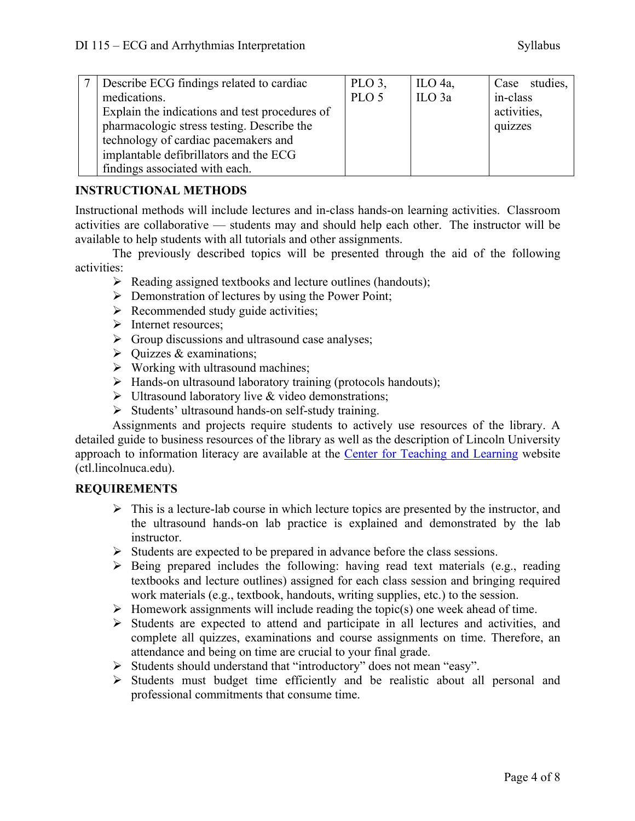| Describe ECG findings related to cardiac       | $PLO$ 3,         | ILO $4a$ ,        | Case studies, |
|------------------------------------------------|------------------|-------------------|---------------|
| medications.                                   | PLO <sub>5</sub> | ILO <sub>3a</sub> | in-class      |
| Explain the indications and test procedures of |                  |                   | activities,   |
| pharmacologic stress testing. Describe the     |                  |                   | quizzes       |
| technology of cardiac pacemakers and           |                  |                   |               |
| implantable defibrillators and the ECG         |                  |                   |               |
| findings associated with each.                 |                  |                   |               |

## **INSTRUCTIONAL METHODS**

Instructional methods will include lectures and in-class hands-on learning activities. Classroom activities are collaborative –– students may and should help each other. The instructor will be available to help students with all tutorials and other assignments.

The previously described topics will be presented through the aid of the following activities:

- $\triangleright$  Reading assigned textbooks and lecture outlines (handouts);
- $\triangleright$  Demonstration of lectures by using the Power Point;
- $\triangleright$  Recommended study guide activities;
- $\triangleright$  Internet resources;
- $\triangleright$  Group discussions and ultrasound case analyses;
- $\triangleright$  Quizzes & examinations;
- $\triangleright$  Working with ultrasound machines;
- $\triangleright$  Hands-on ultrasound laboratory training (protocols handouts);
- $\triangleright$  Ultrasound laboratory live & video demonstrations;
- Ø Students' ultrasound hands-on self-study training.

Assignments and projects require students to actively use resources of the library. A detailed guide to business resources of the library as well as the description of Lincoln University approach to information literacy are available at the Center for Teaching and Learning website (ctl.lincolnuca.edu).

## **REQUIREMENTS**

- $\triangleright$  This is a lecture-lab course in which lecture topics are presented by the instructor, and the ultrasound hands-on lab practice is explained and demonstrated by the lab instructor.
- $\triangleright$  Students are expected to be prepared in advance before the class sessions.
- $\triangleright$  Being prepared includes the following: having read text materials (e.g., reading textbooks and lecture outlines) assigned for each class session and bringing required work materials (e.g., textbook, handouts, writing supplies, etc.) to the session.
- $\triangleright$  Homework assignments will include reading the topic(s) one week ahead of time.
- $\triangleright$  Students are expected to attend and participate in all lectures and activities, and complete all quizzes, examinations and course assignments on time. Therefore, an attendance and being on time are crucial to your final grade.
- Ø Students should understand that "introductory" does not mean "easy".
- $\triangleright$  Students must budget time efficiently and be realistic about all personal and professional commitments that consume time.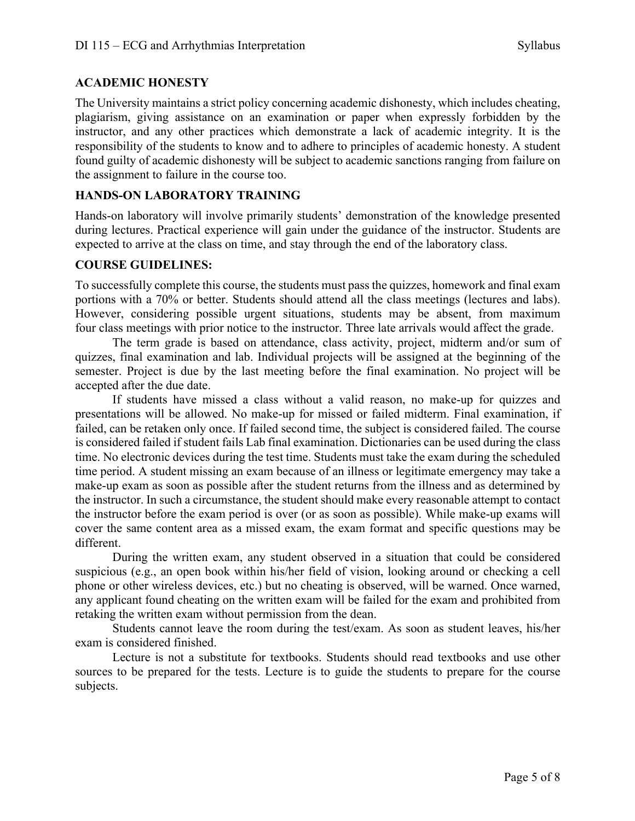#### **ACADEMIC HONESTY**

The University maintains a strict policy concerning academic dishonesty, which includes cheating, plagiarism, giving assistance on an examination or paper when expressly forbidden by the instructor, and any other practices which demonstrate a lack of academic integrity. It is the responsibility of the students to know and to adhere to principles of academic honesty. A student found guilty of academic dishonesty will be subject to academic sanctions ranging from failure on the assignment to failure in the course too.

#### **HANDS-ON LABORATORY TRAINING**

Hands-on laboratory will involve primarily students' demonstration of the knowledge presented during lectures. Practical experience will gain under the guidance of the instructor. Students are expected to arrive at the class on time, and stay through the end of the laboratory class.

#### **COURSE GUIDELINES:**

To successfully complete this course, the students must pass the quizzes, homework and final exam portions with a 70% or better. Students should attend all the class meetings (lectures and labs). However, considering possible urgent situations, students may be absent, from maximum four class meetings with prior notice to the instructor. Three late arrivals would affect the grade.

The term grade is based on attendance, class activity, project, midterm and/or sum of quizzes, final examination and lab. Individual projects will be assigned at the beginning of the semester. Project is due by the last meeting before the final examination. No project will be accepted after the due date.

If students have missed a class without a valid reason, no make-up for quizzes and presentations will be allowed. No make-up for missed or failed midterm. Final examination, if failed, can be retaken only once. If failed second time, the subject is considered failed. The course is considered failed if student fails Lab final examination. Dictionaries can be used during the class time. No electronic devices during the test time. Students must take the exam during the scheduled time period. A student missing an exam because of an illness or legitimate emergency may take a make-up exam as soon as possible after the student returns from the illness and as determined by the instructor. In such a circumstance, the student should make every reasonable attempt to contact the instructor before the exam period is over (or as soon as possible). While make-up exams will cover the same content area as a missed exam, the exam format and specific questions may be different.

During the written exam, any student observed in a situation that could be considered suspicious (e.g., an open book within his/her field of vision, looking around or checking a cell phone or other wireless devices, etc.) but no cheating is observed, will be warned. Once warned, any applicant found cheating on the written exam will be failed for the exam and prohibited from retaking the written exam without permission from the dean.

Students cannot leave the room during the test/exam. As soon as student leaves, his/her exam is considered finished.

Lecture is not a substitute for textbooks. Students should read textbooks and use other sources to be prepared for the tests. Lecture is to guide the students to prepare for the course subjects.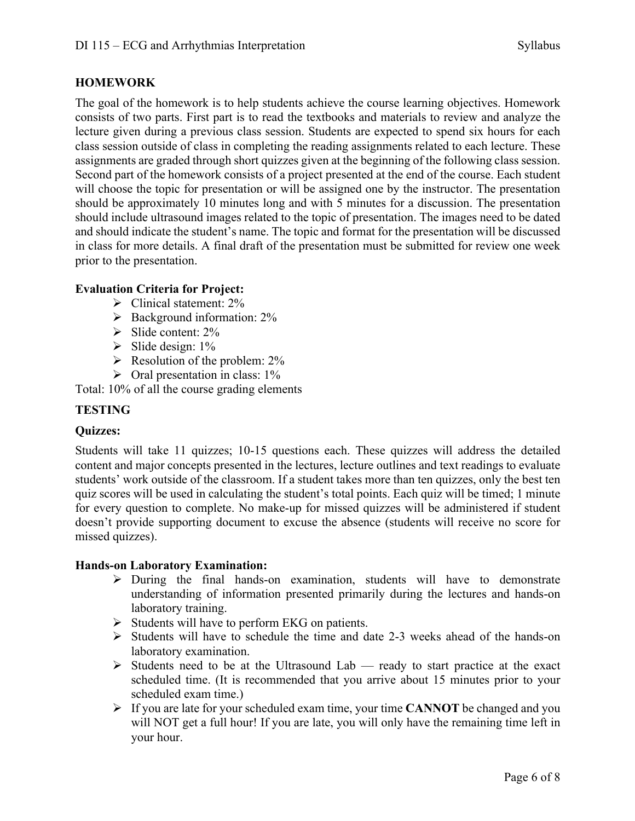# **HOMEWORK**

The goal of the homework is to help students achieve the course learning objectives. Homework consists of two parts. First part is to read the textbooks and materials to review and analyze the lecture given during a previous class session. Students are expected to spend six hours for each class session outside of class in completing the reading assignments related to each lecture. These assignments are graded through short quizzes given at the beginning of the following class session. Second part of the homework consists of a project presented at the end of the course. Each student will choose the topic for presentation or will be assigned one by the instructor. The presentation should be approximately 10 minutes long and with 5 minutes for a discussion. The presentation should include ultrasound images related to the topic of presentation. The images need to be dated and should indicate the student's name. The topic and format for the presentation will be discussed in class for more details. A final draft of the presentation must be submitted for review one week prior to the presentation.

#### **Evaluation Criteria for Project:**

- $\triangleright$  Clinical statement: 2%
- $\triangleright$  Background information: 2%
- $\triangleright$  Slide content: 2%
- $\triangleright$  Slide design: 1%
- $\triangleright$  Resolution of the problem: 2%
- $\triangleright$  Oral presentation in class: 1%

Total: 10% of all the course grading elements

## **TESTING**

## **Quizzes:**

Students will take 11 quizzes; 10-15 questions each. These quizzes will address the detailed content and major concepts presented in the lectures, lecture outlines and text readings to evaluate students' work outside of the classroom. If a student takes more than ten quizzes, only the best ten quiz scores will be used in calculating the student's total points. Each quiz will be timed; 1 minute for every question to complete. No make-up for missed quizzes will be administered if student doesn't provide supporting document to excuse the absence (students will receive no score for missed quizzes).

#### **Hands-on Laboratory Examination:**

- $\triangleright$  During the final hands-on examination, students will have to demonstrate understanding of information presented primarily during the lectures and hands-on laboratory training.
- $\triangleright$  Students will have to perform EKG on patients.
- $\triangleright$  Students will have to schedule the time and date 2-3 weeks ahead of the hands-on laboratory examination.
- $\triangleright$  Students need to be at the Ultrasound Lab ready to start practice at the exact scheduled time. (It is recommended that you arrive about 15 minutes prior to your scheduled exam time.)
- Ø If you are late for your scheduled exam time, your time **CANNOT** be changed and you will NOT get a full hour! If you are late, you will only have the remaining time left in your hour.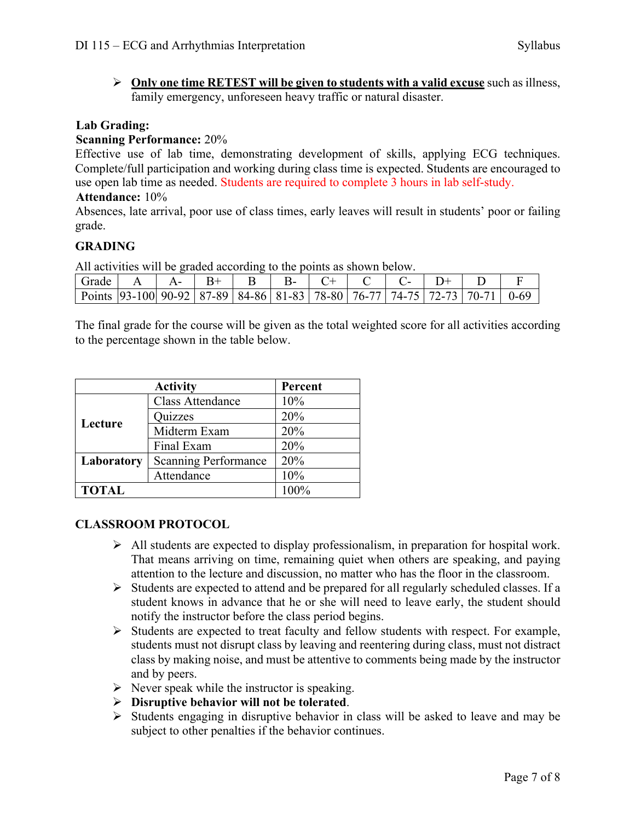$\triangleright$  Only one time RETEST will be given to students with a valid excuse such as illness, family emergency, unforeseen heavy traffic or natural disaster.

## **Lab Grading:**

## **Scanning Performance:** 20%

Effective use of lab time, demonstrating development of skills, applying ECG techniques. Complete/full participation and working during class time is expected. Students are encouraged to use open lab time as needed. Students are required to complete 3 hours in lab self-study.

#### **Attendance:** 10%

Absences, late arrival, poor use of class times, early leaves will result in students' poor or failing grade.

# **GRADING**

All activities will be graded according to the points as shown below.

| $\lceil$ Grade $\lceil$ A $\lceil$ A $\lceil$ B $\lceil$ B $\lceil$ B $\lceil$ B $\lceil$ C $\lceil$ C $\lceil$ C $\lceil$ D $\lceil$ |  |  |  |  |  |  |
|---------------------------------------------------------------------------------------------------------------------------------------|--|--|--|--|--|--|
| Points   93-100   90-92   87-89   84-86   81-83   78-80   76-77   74-75   72-73   70-71   0-69                                        |  |  |  |  |  |  |

The final grade for the course will be given as the total weighted score for all activities according to the percentage shown in the table below.

|              | Percent                     |      |
|--------------|-----------------------------|------|
|              | <b>Class Attendance</b>     | 10%  |
| Lecture      | Quizzes                     | 20%  |
|              | Midterm Exam                | 20%  |
|              | Final Exam                  | 20%  |
| Laboratory   | <b>Scanning Performance</b> | 20%  |
|              | Attendance                  | 10%  |
| <b>TOTAL</b> |                             | 100% |

# **CLASSROOM PROTOCOL**

- $\triangleright$  All students are expected to display professionalism, in preparation for hospital work. That means arriving on time, remaining quiet when others are speaking, and paying attention to the lecture and discussion, no matter who has the floor in the classroom.
- $\triangleright$  Students are expected to attend and be prepared for all regularly scheduled classes. If a student knows in advance that he or she will need to leave early, the student should notify the instructor before the class period begins.
- $\triangleright$  Students are expected to treat faculty and fellow students with respect. For example, students must not disrupt class by leaving and reentering during class, must not distract class by making noise, and must be attentive to comments being made by the instructor and by peers.
- $\triangleright$  Never speak while the instructor is speaking.
- Ø **Disruptive behavior will not be tolerated**.
- $\triangleright$  Students engaging in disruptive behavior in class will be asked to leave and may be subject to other penalties if the behavior continues.